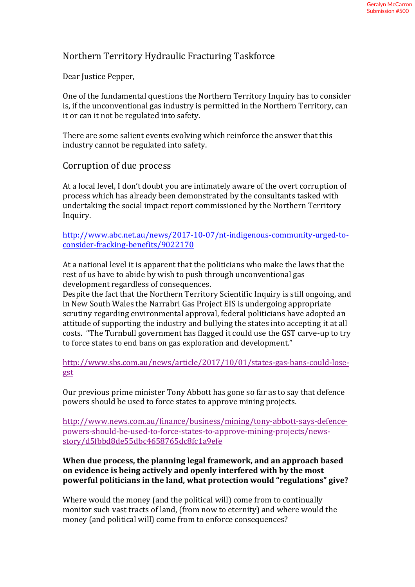## Northern Territory Hydraulic Fracturing Taskforce

Dear Justice Pepper,

One of the fundamental questions the Northern Territory Inquiry has to consider is, if the unconventional gas industry is permitted in the Northern Territory, can it or can it not be regulated into safety.

There are some salient events evolving which reinforce the answer that this industry cannot be regulated into safety.

## Corruption of due process

At a local level, I don't doubt you are intimately aware of the overt corruption of process which has already been demonstrated by the consultants tasked with undertaking the social impact report commissioned by the Northern Territory Inquiry. 

http://www.abc.net.au/news/2017-10-07/nt-indigenous-community-urged-toconsider-fracking-benefits/9022170

At a national level it is apparent that the politicians who make the laws that the rest of us have to abide by wish to push through unconventional gas development regardless of consequences.

Despite the fact that the Northern Territory Scientific Inquiry is still ongoing, and in New South Wales the Narrabri Gas Project EIS is undergoing appropriate scrutiny regarding environmental approval, federal politicians have adopted an attitude of supporting the industry and bullying the states into accepting it at all costs. "The Turnbull government has flagged it could use the GST carve-up to try to force states to end bans on gas exploration and development."

http://www.sbs.com.au/news/article/2017/10/01/states-gas-bans-could-losegst

Our previous prime minister Tony Abbott has gone so far as to say that defence powers should be used to force states to approve mining projects.

http://www.news.com.au/finance/business/mining/tony-abbott-says-defencepowers-should-be-used-to-force-states-to-approve-mining-projects/newsstory/d5fbbd8de55dbc4658765dc8fc1a9efe

## When due process, the planning legal framework, and an approach based on evidence is being actively and openly interfered with by the most powerful politicians in the land, what protection would "regulations" give?

Where would the money (and the political will) come from to continually monitor such vast tracts of land, (from now to eternity) and where would the money (and political will) come from to enforce consequences?